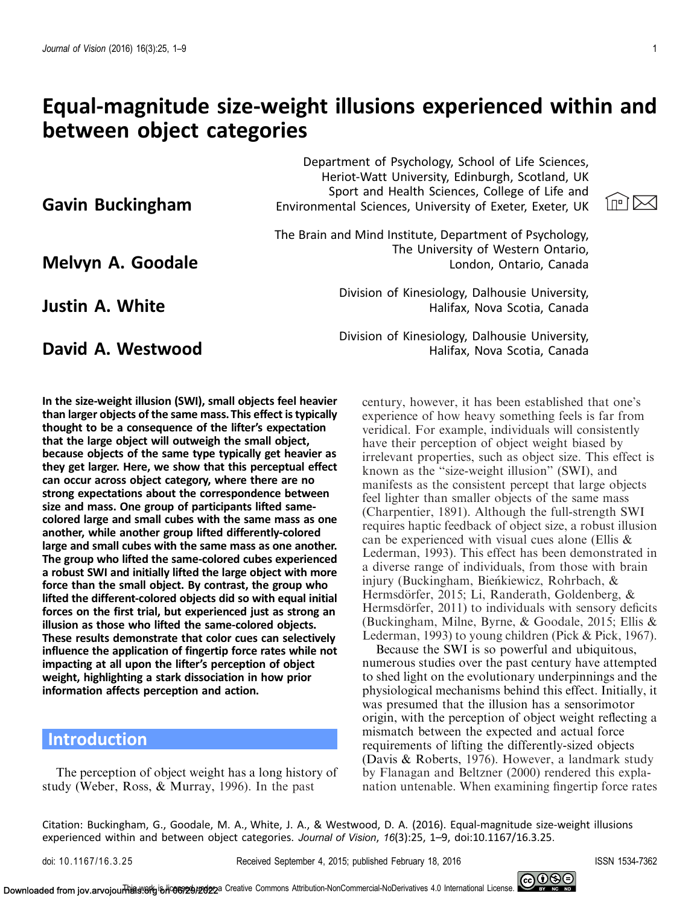Melvyn A. Goodale

# Equal-magnitude size-weight illusions experienced within and between object categories

Sport and Health Sciences, College of Life and<br>Gavin Buckingham **1 Environmental Sciences, University of Exeter**, Exeter, UK In N Department of Psychology, School of Life Sciences, Heriot-Watt University, Edinburgh, Scotland, UK Sport and Health Sciences, College of Life and



The Brain and Mind Institute, Department of Psychology, The University of Western Ontario, London, Ontario, Canada

Division of Kinesiology, Dalhousie University,<br>Halifax, Nova Scotia, Canada السابق السلطة Halifax, Nova Scotia, Canada Halifax, Nova Scotia, Canada

Division of Kinesiology, Dalhousie University,<br>David A. Westwood Division of Kinesiology, Dalhousie University, Halifax, Nova Scotia, Canada

In the size-weight illusion (SWI), small objects feel heavier than larger objects of the same mass. This effect is typically thought to be a consequence of the lifter's expectation that the large object will outweigh the small object, because objects of the same type typically get heavier as they get larger. Here, we show that this perceptual effect can occur across object category, where there are no strong expectations about the correspondence between size and mass. One group of participants lifted samecolored large and small cubes with the same mass as one another, while another group lifted differently-colored large and small cubes with the same mass as one another. The group who lifted the same-colored cubes experienced a robust SWI and initially lifted the large object with more force than the small object. By contrast, the group who lifted the different-colored objects did so with equal initial forces on the first trial, but experienced just as strong an illusion as those who lifted the same-colored objects. These results demonstrate that color cues can selectively influence the application of fingertip force rates while not impacting at all upon the lifter's perception of object weight, highlighting a stark dissociation in how prior information affects perception and action.

# Introduction

The perception of object weight has a long history of study (Weber, Ross, & Murray, [1996](#page-8-0)). In the past

century, however, it has been established that one's experience of how heavy something feels is far from veridical. For example, individuals will consistently have their perception of object weight biased by irrelevant properties, such as object size. This effect is known as the ''size-weight illusion'' (SWI), and manifests as the consistent percept that large objects feel lighter than smaller objects of the same mass (Charpentier, [1891](#page-7-0)). Although the full-strength SWI requires haptic feedback of object size, a robust illusion can be experienced with visual cues alone (Ellis & Lederman, [1993\)](#page-7-0). This effect has been demonstrated in a diverse range of individuals, from those with brain injury (Buckingham, Bieńkiewicz, Rohrbach, & Hermsdörfer, [2015](#page-7-0); Li, Randerath, Goldenberg, & Hermsdörfer, [2011\)](#page-8-0) to individuals with sensory deficits (Buckingham, Milne, Byrne, & Goodale, [2015;](#page-7-0) Ellis & Lederman, [1993](#page-7-0)) to young children (Pick & Pick, [1967](#page-8-0)).

Because the SWI is so powerful and ubiquitous, numerous studies over the past century have attempted to shed light on the evolutionary underpinnings and the physiological mechanisms behind this effect. Initially, it was presumed that the illusion has a sensorimotor origin, with the perception of object weight reflecting a mismatch between the expected and actual force requirements of lifting the differently-sized objects (Davis & Roberts, [1976](#page-7-0)). However, a landmark study by Flanagan and Beltzner [\(2000\)](#page-7-0) rendered this explanation untenable. When examining fingertip force rates

Citation: Buckingham, G., Goodale, M. A., White, J. A., & Westwood, D. A. (2016). Equal-magnitude size-weight illusions experienced within and between object categories. Journal of Vision, 16(3):25, 1–9, doi:10.1167/16.3.25.

doi: 10.1167/16.3.25 Received September 4, 2015; published February 18, 2016 ISSN 1534-7362

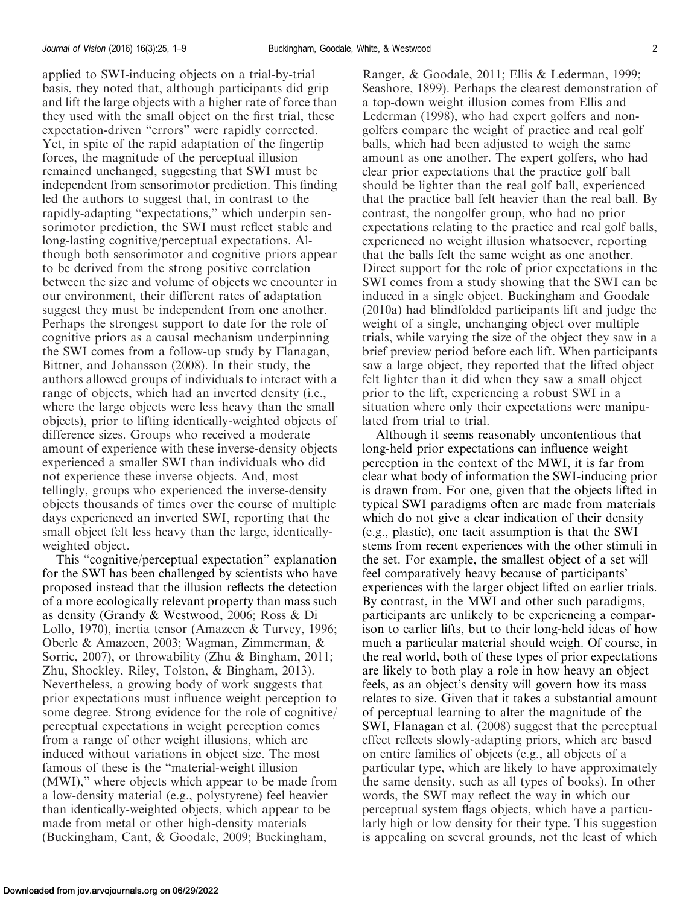applied to SWI-inducing objects on a trial-by-trial basis, they noted that, although participants did grip and lift the large objects with a higher rate of force than they used with the small object on the first trial, these expectation-driven ''errors'' were rapidly corrected. Yet, in spite of the rapid adaptation of the fingertip forces, the magnitude of the perceptual illusion remained unchanged, suggesting that SWI must be independent from sensorimotor prediction. This finding led the authors to suggest that, in contrast to the rapidly-adapting "expectations," which underpin sensorimotor prediction, the SWI must reflect stable and long-lasting cognitive/perceptual expectations. Although both sensorimotor and cognitive priors appear to be derived from the strong positive correlation between the size and volume of objects we encounter in our environment, their different rates of adaptation suggest they must be independent from one another. Perhaps the strongest support to date for the role of cognitive priors as a causal mechanism underpinning the SWI comes from a follow-up study by Flanagan, Bittner, and Johansson ([2008\)](#page-7-0). In their study, the authors allowed groups of individuals to interact with a range of objects, which had an inverted density (i.e., where the large objects were less heavy than the small objects), prior to lifting identically-weighted objects of difference sizes. Groups who received a moderate amount of experience with these inverse-density objects experienced a smaller SWI than individuals who did not experience these inverse objects. And, most tellingly, groups who experienced the inverse-density objects thousands of times over the course of multiple days experienced an inverted SWI, reporting that the small object felt less heavy than the large, identicallyweighted object.

This ''cognitive/perceptual expectation'' explanation for the SWI has been challenged by scientists who have proposed instead that the illusion reflects the detection of a more ecologically relevant property than mass such as density (Grandy & Westwood, [2006;](#page-7-0) Ross & Di Lollo, [1970\)](#page-8-0), inertia tensor (Amazeen & Turvey, [1996](#page-7-0); Oberle & Amazeen, [2003;](#page-8-0) Wagman, Zimmerman, & Sorric, [2007\)](#page-8-0), or throwability (Zhu & Bingham, [2011;](#page-8-0) Zhu, Shockley, Riley, Tolston, & Bingham, [2013\)](#page-8-0). Nevertheless, a growing body of work suggests that prior expectations must influence weight perception to some degree. Strong evidence for the role of cognitive/ perceptual expectations in weight perception comes from a range of other weight illusions, which are induced without variations in object size. The most famous of these is the ''material-weight illusion (MWI),'' where objects which appear to be made from a low-density material (e.g., polystyrene) feel heavier than identically-weighted objects, which appear to be made from metal or other high-density materials (Buckingham, Cant, & Goodale, [2009](#page-7-0); Buckingham,

Ranger, & Goodale, [2011](#page-7-0); Ellis & Lederman, [1999;](#page-7-0) Seashore, [1899\)](#page-8-0). Perhaps the clearest demonstration of a top-down weight illusion comes from Ellis and Lederman ([1998\)](#page-7-0), who had expert golfers and nongolfers compare the weight of practice and real golf balls, which had been adjusted to weigh the same amount as one another. The expert golfers, who had clear prior expectations that the practice golf ball should be lighter than the real golf ball, experienced that the practice ball felt heavier than the real ball. By contrast, the nongolfer group, who had no prior expectations relating to the practice and real golf balls, experienced no weight illusion whatsoever, reporting that the balls felt the same weight as one another. Direct support for the role of prior expectations in the SWI comes from a study showing that the SWI can be induced in a single object. [Buckingham and Goodale](#page-7-0) [\(2010a\)](#page-7-0) had blindfolded participants lift and judge the weight of a single, unchanging object over multiple trials, while varying the size of the object they saw in a brief preview period before each lift. When participants saw a large object, they reported that the lifted object felt lighter than it did when they saw a small object prior to the lift, experiencing a robust SWI in a situation where only their expectations were manipulated from trial to trial.

Although it seems reasonably uncontentious that long-held prior expectations can influence weight perception in the context of the MWI, it is far from clear what body of information the SWI-inducing prior is drawn from. For one, given that the objects lifted in typical SWI paradigms often are made from materials which do not give a clear indication of their density (e.g., plastic), one tacit assumption is that the SWI stems from recent experiences with the other stimuli in the set. For example, the smallest object of a set will feel comparatively heavy because of participants' experiences with the larger object lifted on earlier trials. By contrast, in the MWI and other such paradigms, participants are unlikely to be experiencing a comparison to earlier lifts, but to their long-held ideas of how much a particular material should weigh. Of course, in the real world, both of these types of prior expectations are likely to both play a role in how heavy an object feels, as an object's density will govern how its mass relates to size. Given that it takes a substantial amount of perceptual learning to alter the magnitude of the SWI, Flanagan et al. [\(2008](#page-7-0)) suggest that the perceptual effect reflects slowly-adapting priors, which are based on entire families of objects (e.g., all objects of a particular type, which are likely to have approximately the same density, such as all types of books). In other words, the SWI may reflect the way in which our perceptual system flags objects, which have a particularly high or low density for their type. This suggestion is appealing on several grounds, not the least of which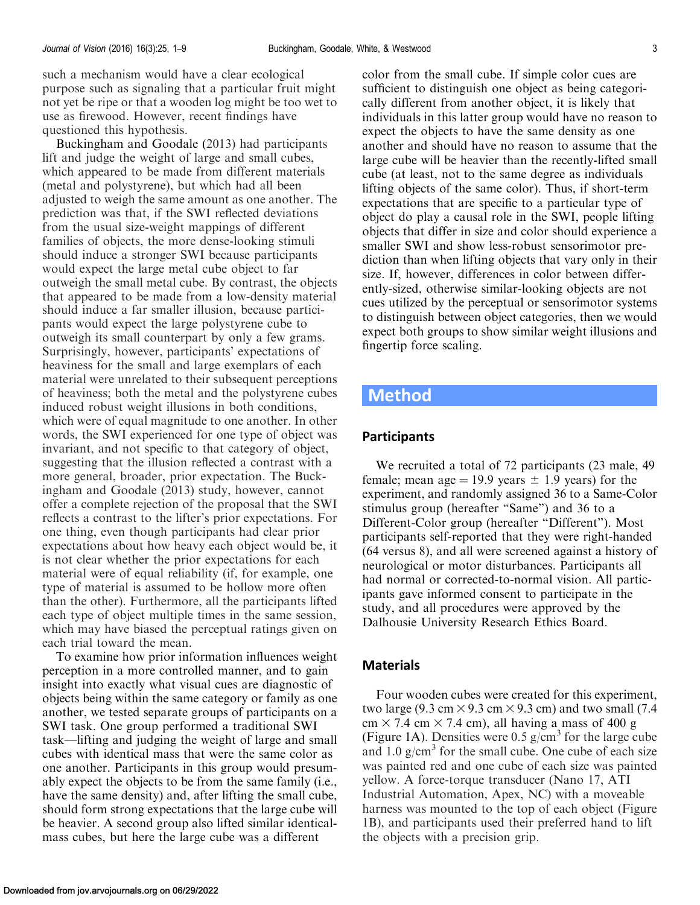such a mechanism would have a clear ecological purpose such as signaling that a particular fruit might not yet be ripe or that a wooden log might be too wet to use as firewood. However, recent findings have questioned this hypothesis.

Buckingham and Goodale ([2013\)](#page-7-0) had participants lift and judge the weight of large and small cubes, which appeared to be made from different materials (metal and polystyrene), but which had all been adjusted to weigh the same amount as one another. The prediction was that, if the SWI reflected deviations from the usual size-weight mappings of different families of objects, the more dense-looking stimuli should induce a stronger SWI because participants would expect the large metal cube object to far outweigh the small metal cube. By contrast, the objects that appeared to be made from a low-density material should induce a far smaller illusion, because participants would expect the large polystyrene cube to outweigh its small counterpart by only a few grams. Surprisingly, however, participants' expectations of heaviness for the small and large exemplars of each material were unrelated to their subsequent perceptions of heaviness; both the metal and the polystyrene cubes induced robust weight illusions in both conditions, which were of equal magnitude to one another. In other words, the SWI experienced for one type of object was invariant, and not specific to that category of object, suggesting that the illusion reflected a contrast with a more general, broader, prior expectation. The Buckingham and Goodale ([2013](#page-7-0)) study, however, cannot offer a complete rejection of the proposal that the SWI reflects a contrast to the lifter's prior expectations. For one thing, even though participants had clear prior expectations about how heavy each object would be, it is not clear whether the prior expectations for each material were of equal reliability (if, for example, one type of material is assumed to be hollow more often than the other). Furthermore, all the participants lifted each type of object multiple times in the same session, which may have biased the perceptual ratings given on each trial toward the mean.

To examine how prior information influences weight perception in a more controlled manner, and to gain insight into exactly what visual cues are diagnostic of objects being within the same category or family as one another, we tested separate groups of participants on a SWI task. One group performed a traditional SWI task—lifting and judging the weight of large and small cubes with identical mass that were the same color as one another. Participants in this group would presumably expect the objects to be from the same family (i.e., have the same density) and, after lifting the small cube, should form strong expectations that the large cube will be heavier. A second group also lifted similar identicalmass cubes, but here the large cube was a different

color from the small cube. If simple color cues are sufficient to distinguish one object as being categorically different from another object, it is likely that individuals in this latter group would have no reason to expect the objects to have the same density as one another and should have no reason to assume that the large cube will be heavier than the recently-lifted small cube (at least, not to the same degree as individuals lifting objects of the same color). Thus, if short-term expectations that are specific to a particular type of object do play a causal role in the SWI, people lifting objects that differ in size and color should experience a smaller SWI and show less-robust sensorimotor prediction than when lifting objects that vary only in their size. If, however, differences in color between differently-sized, otherwise similar-looking objects are not cues utilized by the perceptual or sensorimotor systems to distinguish between object categories, then we would expect both groups to show similar weight illusions and fingertip force scaling.

# Method

#### Participants

We recruited a total of 72 participants (23 male, 49 female; mean age = 19.9 years  $\pm$  1.9 years) for the experiment, and randomly assigned 36 to a Same-Color stimulus group (hereafter "Same") and 36 to a Different-Color group (hereafter "Different"). Most participants self-reported that they were right-handed (64 versus 8), and all were screened against a history of neurological or motor disturbances. Participants all had normal or corrected-to-normal vision. All participants gave informed consent to participate in the study, and all procedures were approved by the Dalhousie University Research Ethics Board.

#### **Materials**

Four wooden cubes were created for this experiment, two large (9.3 cm  $\times$  9.3 cm  $\times$  9.3 cm) and two small (7.4 cm  $\times$  7.4 cm  $\times$  7.4 cm), all having a mass of 400 g ([Figure 1A](#page-3-0)). Densities were 0.5  $g/cm<sup>3</sup>$  for the large cube and 1.0  $g/cm<sup>3</sup>$  for the small cube. One cube of each size was painted red and one cube of each size was painted yellow. A force-torque transducer (Nano 17, ATI Industrial Automation, Apex, NC) with a moveable harness was mounted to the top of each object [\(Figure](#page-3-0) [1B\)](#page-3-0), and participants used their preferred hand to lift the objects with a precision grip.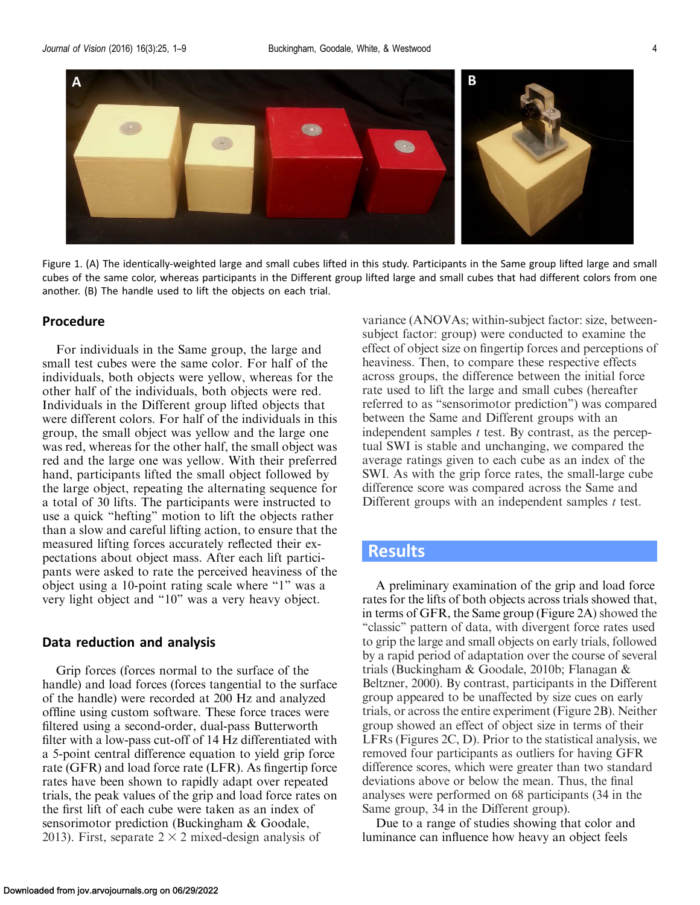<span id="page-3-0"></span>

Figure 1. (A) The identically-weighted large and small cubes lifted in this study. Participants in the Same group lifted large and small cubes of the same color, whereas participants in the Different group lifted large and small cubes that had different colors from one another. (B) The handle used to lift the objects on each trial.

#### Procedure

For individuals in the Same group, the large and small test cubes were the same color. For half of the individuals, both objects were yellow, whereas for the other half of the individuals, both objects were red. Individuals in the Different group lifted objects that were different colors. For half of the individuals in this group, the small object was yellow and the large one was red, whereas for the other half, the small object was red and the large one was yellow. With their preferred hand, participants lifted the small object followed by the large object, repeating the alternating sequence for a total of 30 lifts. The participants were instructed to use a quick ''hefting'' motion to lift the objects rather than a slow and careful lifting action, to ensure that the measured lifting forces accurately reflected their expectations about object mass. After each lift participants were asked to rate the perceived heaviness of the object using a 10-point rating scale where ''1'' was a very light object and "10" was a very heavy object.

#### Data reduction and analysis

Grip forces (forces normal to the surface of the handle) and load forces (forces tangential to the surface of the handle) were recorded at 200 Hz and analyzed offline using custom software. These force traces were filtered using a second-order, dual-pass Butterworth filter with a low-pass cut-off of 14 Hz differentiated with a 5-point central difference equation to yield grip force rate (GFR) and load force rate (LFR). As fingertip force rates have been shown to rapidly adapt over repeated trials, the peak values of the grip and load force rates on the first lift of each cube were taken as an index of sensorimotor prediction (Buckingham & Goodale, [2013](#page-7-0)). First, separate  $2 \times 2$  mixed-design analysis of

variance (ANOVAs; within-subject factor: size, betweensubject factor: group) were conducted to examine the effect of object size on fingertip forces and perceptions of heaviness. Then, to compare these respective effects across groups, the difference between the initial force rate used to lift the large and small cubes (hereafter referred to as ''sensorimotor prediction'') was compared between the Same and Different groups with an independent samples  $t$  test. By contrast, as the perceptual SWI is stable and unchanging, we compared the average ratings given to each cube as an index of the SWI. As with the grip force rates, the small-large cube difference score was compared across the Same and Different groups with an independent samples  $t$  test.

### Results

A preliminary examination of the grip and load force rates for the lifts of both objects across trials showed that, in terms of GFR, the Same group [\(Figure 2A\)](#page-4-0) showed the "classic" pattern of data, with divergent force rates used to grip the large and small objects on early trials, followed by a rapid period of adaptation over the course of several trials (Buckingham & Goodale, [2010b](#page-7-0); Flanagan & Beltzner, [2000](#page-7-0)). By contrast, participants in the Different group appeared to be unaffected by size cues on early trials, or across the entire experiment [\(Figure 2B\)](#page-4-0). Neither group showed an effect of object size in terms of their LFRs ([Figures 2C](#page-4-0), [D](#page-4-0)). Prior to the statistical analysis, we removed four participants as outliers for having GFR difference scores, which were greater than two standard deviations above or below the mean. Thus, the final analyses were performed on 68 participants (34 in the Same group, 34 in the Different group).

Due to a range of studies showing that color and luminance can influence how heavy an object feels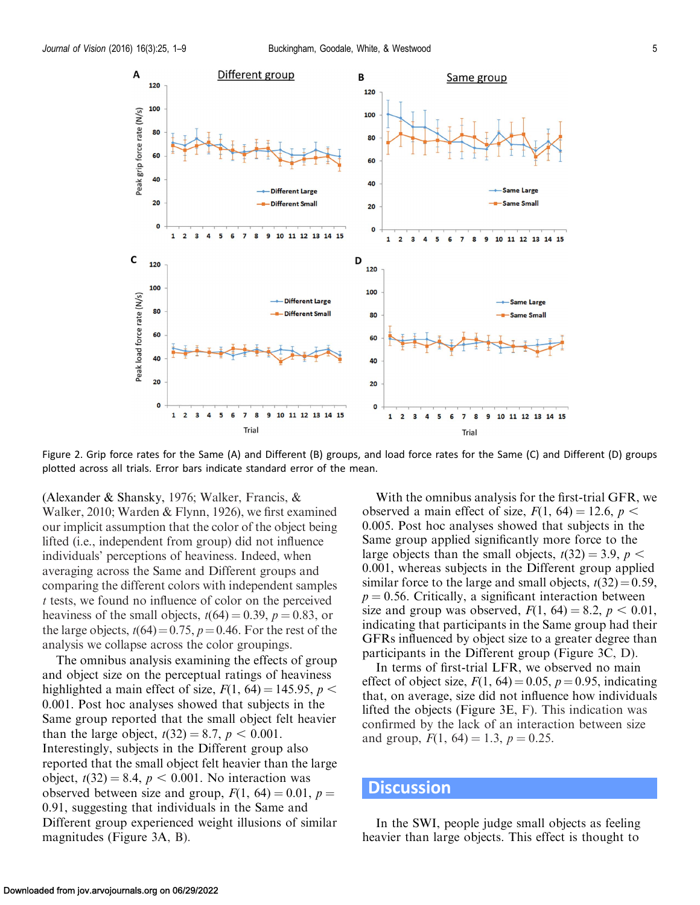<span id="page-4-0"></span>

Figure 2. Grip force rates for the Same (A) and Different (B) groups, and load force rates for the Same (C) and Different (D) groups plotted across all trials. Error bars indicate standard error of the mean.

(Alexander & Shansky, [1976;](#page-7-0) Walker, Francis, & Walker, [2010;](#page-8-0) Warden & Flynn, [1926](#page-8-0)), we first examined our implicit assumption that the color of the object being lifted (i.e., independent from group) did not influence individuals' perceptions of heaviness. Indeed, when averaging across the Same and Different groups and comparing the different colors with independent samples t tests, we found no influence of color on the perceived heaviness of the small objects,  $t(64) = 0.39$ ,  $p = 0.83$ , or the large objects,  $t(64) = 0.75$ ,  $p = 0.46$ . For the rest of the analysis we collapse across the color groupings.

The omnibus analysis examining the effects of group and object size on the perceptual ratings of heaviness highlighted a main effect of size,  $F(1, 64) = 145.95$ ,  $p <$ 0.001. Post hoc analyses showed that subjects in the Same group reported that the small object felt heavier than the large object,  $t(32) = 8.7$ ,  $p < 0.001$ . Interestingly, subjects in the Different group also reported that the small object felt heavier than the large object,  $t(32) = 8.4$ ,  $p < 0.001$ . No interaction was observed between size and group,  $F(1, 64) = 0.01$ ,  $p =$ 0.91, suggesting that individuals in the Same and Different group experienced weight illusions of similar magnitudes ([Figure 3A](#page-5-0), [B](#page-5-0)).

With the omnibus analysis for the first-trial GFR, we observed a main effect of size,  $F(1, 64) = 12.6$ ,  $p <$ 0.005. Post hoc analyses showed that subjects in the Same group applied significantly more force to the large objects than the small objects,  $t(32) = 3.9$ ,  $p <$ 0.001, whereas subjects in the Different group applied similar force to the large and small objects,  $t(32) = 0.59$ ,  $p = 0.56$ . Critically, a significant interaction between size and group was observed,  $F(1, 64) = 8.2, p < 0.01$ , indicating that participants in the Same group had their GFRs influenced by object size to a greater degree than participants in the Different group [\(Figure 3C](#page-5-0), [D\)](#page-5-0).

In terms of first-trial LFR, we observed no main effect of object size,  $F(1, 64) = 0.05$ ,  $p = 0.95$ , indicating that, on average, size did not influence how individuals lifted the objects ([Figure 3E, F\)](#page-5-0). This indication was confirmed by the lack of an interaction between size and group,  $F(1, 64) = 1.3$ ,  $p = 0.25$ .

### **Discussion**

In the SWI, people judge small objects as feeling heavier than large objects. This effect is thought to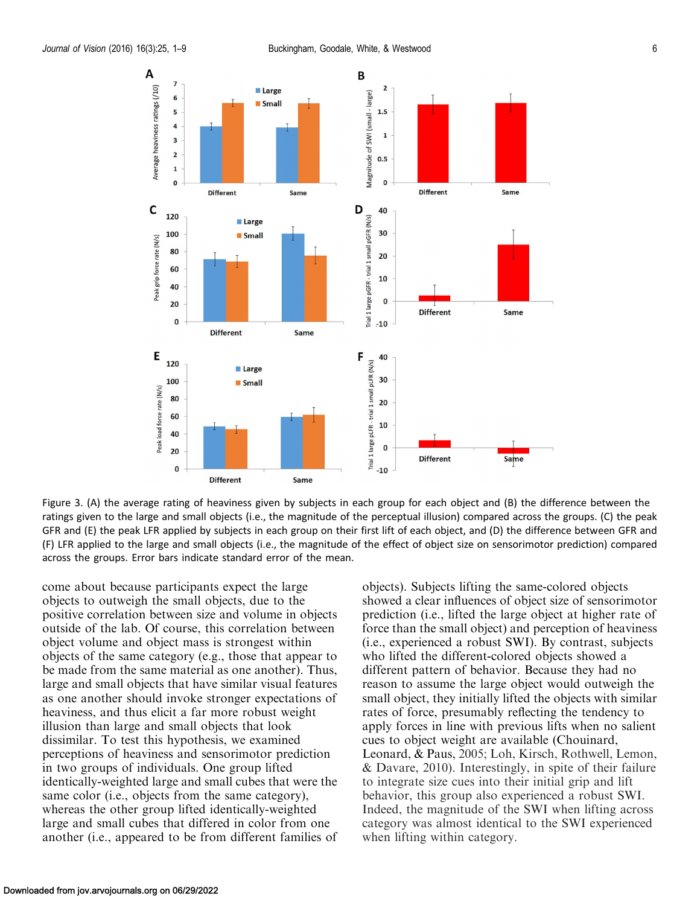<span id="page-5-0"></span>

Figure 3. (A) the average rating of heaviness given by subjects in each group for each object and (B) the difference between the ratings given to the large and small objects (i.e., the magnitude of the perceptual illusion) compared across the groups. (C) the peak GFR and (E) the peak LFR applied by subjects in each group on their first lift of each object, and (D) the difference between GFR and (F) LFR applied to the large and small objects (i.e., the magnitude of the effect of object size on sensorimotor prediction) compared across the groups. Error bars indicate standard error of the mean.

come about because participants expect the large objects to outweigh the small objects, due to the positive correlation between size and volume in objects outside of the lab. Of course, this correlation between object volume and object mass is strongest within objects of the same category (e.g., those that appear to be made from the same material as one another). Thus, large and small objects that have similar visual features as one another should invoke stronger expectations of heaviness, and thus elicit a far more robust weight illusion than large and small objects that look dissimilar. To test this hypothesis, we examined perceptions of heaviness and sensorimotor prediction in two groups of individuals. One group lifted identically-weighted large and small cubes that were the same color (i.e., objects from the same category), whereas the other group lifted identically-weighted large and small cubes that differed in color from one another (i.e., appeared to be from different families of objects). Subjects lifting the same-colored objects showed a clear influences of object size of sensorimotor prediction (i.e., lifted the large object at higher rate of force than the small object) and perception of heaviness (i.e., experienced a robust SWI). By contrast, subjects who lifted the different-colored objects showed a different pattern of behavior. Because they had no reason to assume the large object would outweigh the small object, they initially lifted the objects with similar rates of force, presumably reflecting the tendency to apply forces in line with previous lifts when no salient cues to object weight are available (Chouinard, Leonard, & Paus, [2005](#page-7-0); Loh, Kirsch, Rothwell, Lemon, & Davare, [2010](#page-8-0)). Interestingly, in spite of their failure to integrate size cues into their initial grip and lift behavior, this group also experienced a robust SWI. Indeed, the magnitude of the SWI when lifting across category was almost identical to the SWI experienced when lifting within category.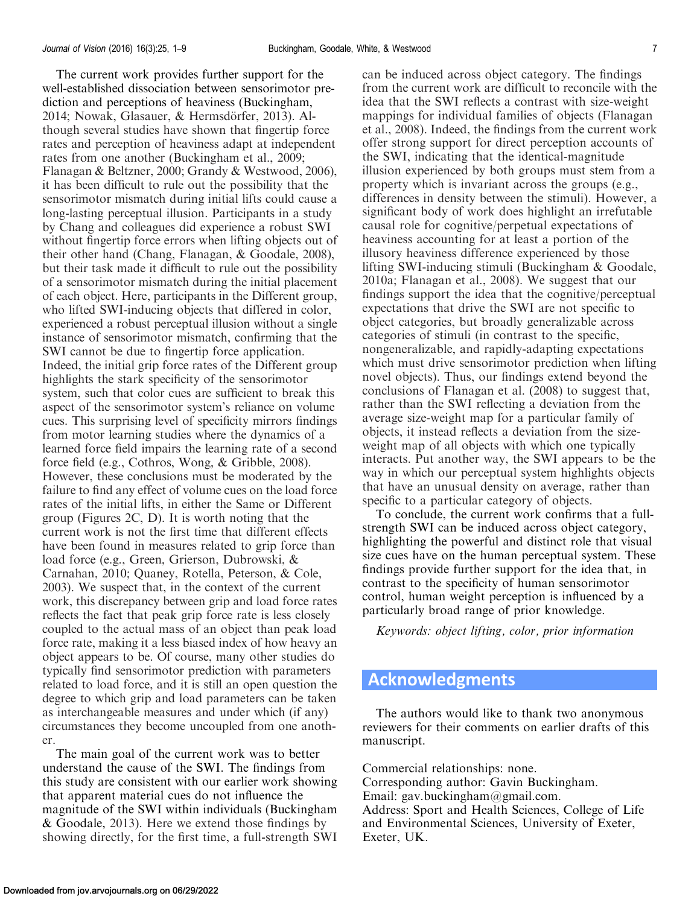The current work provides further support for the well-established dissociation between sensorimotor prediction and perceptions of heaviness (Buckingham, [2014](#page-7-0); Nowak, Glasauer, & Hermsdörfer, [2013\)](#page-8-0). Although several studies have shown that fingertip force rates and perception of heaviness adapt at independent rates from one another (Buckingham et al., [2009](#page-7-0); Flanagan & Beltzner, [2000](#page-7-0); Grandy & Westwood, [2006\)](#page-7-0), it has been difficult to rule out the possibility that the sensorimotor mismatch during initial lifts could cause a long-lasting perceptual illusion. Participants in a study by Chang and colleagues did experience a robust SWI without fingertip force errors when lifting objects out of their other hand (Chang, Flanagan, & Goodale, [2008](#page-7-0)), but their task made it difficult to rule out the possibility of a sensorimotor mismatch during the initial placement of each object. Here, participants in the Different group, who lifted SWI-inducing objects that differed in color, experienced a robust perceptual illusion without a single instance of sensorimotor mismatch, confirming that the SWI cannot be due to fingertip force application. Indeed, the initial grip force rates of the Different group highlights the stark specificity of the sensorimotor system, such that color cues are sufficient to break this aspect of the sensorimotor system's reliance on volume cues. This surprising level of specificity mirrors findings from motor learning studies where the dynamics of a learned force field impairs the learning rate of a second force field (e.g., Cothros, Wong, & Gribble, [2008\)](#page-7-0). However, these conclusions must be moderated by the failure to find any effect of volume cues on the load force rates of the initial lifts, in either the Same or Different group [\(Figures 2C](#page-4-0), [D\)](#page-4-0). It is worth noting that the current work is not the first time that different effects have been found in measures related to grip force than load force (e.g., Green, Grierson, Dubrowski, & Carnahan, [2010;](#page-7-0) Quaney, Rotella, Peterson, & Cole, [2003](#page-8-0)). We suspect that, in the context of the current work, this discrepancy between grip and load force rates reflects the fact that peak grip force rate is less closely coupled to the actual mass of an object than peak load force rate, making it a less biased index of how heavy an object appears to be. Of course, many other studies do typically find sensorimotor prediction with parameters related to load force, and it is still an open question the degree to which grip and load parameters can be taken as interchangeable measures and under which (if any) circumstances they become uncoupled from one another.

The main goal of the current work was to better understand the cause of the SWI. The findings from this study are consistent with our earlier work showing that apparent material cues do not influence the magnitude of the SWI within individuals (Buckingham & Goodale, [2013](#page-7-0)). Here we extend those findings by showing directly, for the first time, a full-strength SWI can be induced across object category. The findings from the current work are difficult to reconcile with the idea that the SWI reflects a contrast with size-weight mappings for individual families of objects (Flanagan et al., [2008](#page-7-0)). Indeed, the findings from the current work offer strong support for direct perception accounts of the SWI, indicating that the identical-magnitude illusion experienced by both groups must stem from a property which is invariant across the groups (e.g., differences in density between the stimuli). However, a significant body of work does highlight an irrefutable causal role for cognitive/perpetual expectations of heaviness accounting for at least a portion of the illusory heaviness difference experienced by those lifting SWI-inducing stimuli (Buckingham & Goodale, [2010a](#page-7-0); Flanagan et al., [2008\)](#page-7-0). We suggest that our findings support the idea that the cognitive/perceptual expectations that drive the SWI are not specific to object categories, but broadly generalizable across categories of stimuli (in contrast to the specific, nongeneralizable, and rapidly-adapting expectations which must drive sensorimotor prediction when lifting novel objects). Thus, our findings extend beyond the conclusions of Flanagan et al. ([2008\)](#page-7-0) to suggest that, rather than the SWI reflecting a deviation from the average size-weight map for a particular family of objects, it instead reflects a deviation from the sizeweight map of all objects with which one typically interacts. Put another way, the SWI appears to be the way in which our perceptual system highlights objects that have an unusual density on average, rather than specific to a particular category of objects.

To conclude, the current work confirms that a fullstrength SWI can be induced across object category, highlighting the powerful and distinct role that visual size cues have on the human perceptual system. These findings provide further support for the idea that, in contrast to the specificity of human sensorimotor control, human weight perception is influenced by a particularly broad range of prior knowledge.

Keywords: object lifting, color, prior information

## Acknowledgments

The authors would like to thank two anonymous reviewers for their comments on earlier drafts of this manuscript.

Commercial relationships: none. Corresponding author: Gavin Buckingham. Email: gav.buckingham@gmail.com. Address: Sport and Health Sciences, College of Life and Environmental Sciences, University of Exeter, Exeter, UK.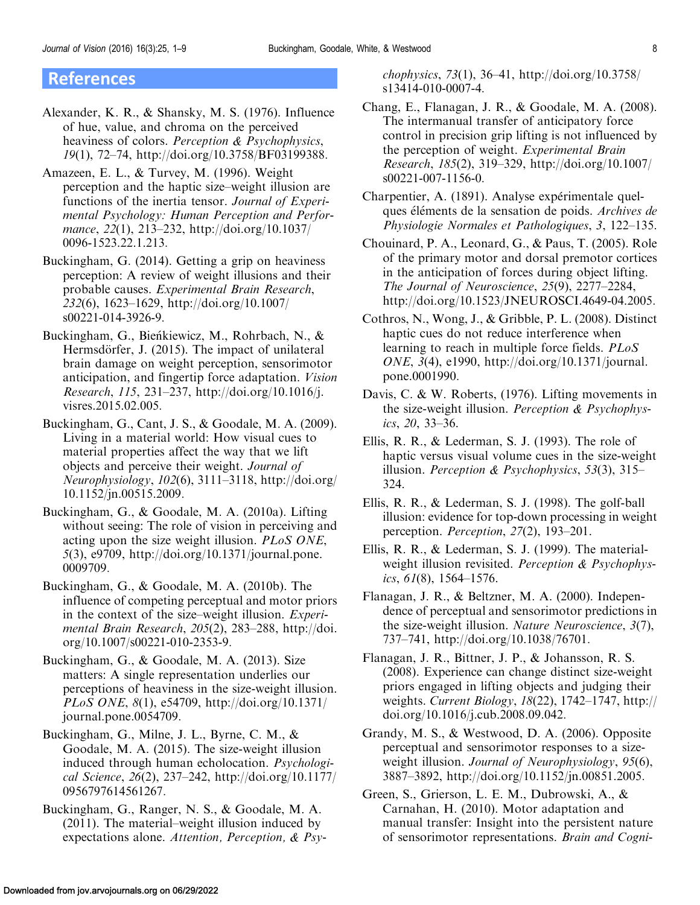### <span id="page-7-0"></span>References

- Alexander, K. R., & Shansky, M. S. (1976). Influence of hue, value, and chroma on the perceived heaviness of colors. Perception & Psychophysics, 19(1), 72–74, http://doi.org/10.3758/BF03199388.
- Amazeen, E. L., & Turvey, M. (1996). Weight perception and the haptic size–weight illusion are functions of the inertia tensor. Journal of Experimental Psychology: Human Perception and Performance, 22(1), 213–232, http://doi.org/10.1037/ 0096-1523.22.1.213.
- Buckingham, G. (2014). Getting a grip on heaviness perception: A review of weight illusions and their probable causes. Experimental Brain Research, 232(6), 1623–1629, http://doi.org/10.1007/ s00221-014-3926-9.
- Buckingham, G., Bieńkiewicz, M., Rohrbach, N., & Hermsdörfer, J. (2015). The impact of unilateral brain damage on weight perception, sensorimotor anticipation, and fingertip force adaptation. Vision Research, 115, 231–237, http://doi.org/10.1016/j. visres.2015.02.005.
- Buckingham, G., Cant, J. S., & Goodale, M. A. (2009). Living in a material world: How visual cues to material properties affect the way that we lift objects and perceive their weight. Journal of Neurophysiology, 102(6), 3111–3118, http://doi.org/ 10.1152/jn.00515.2009.
- Buckingham, G., & Goodale, M. A. (2010a). Lifting without seeing: The role of vision in perceiving and acting upon the size weight illusion. PLoS ONE, 5(3), e9709, http://doi.org/10.1371/journal.pone. 0009709.
- Buckingham, G., & Goodale, M. A. (2010b). The influence of competing perceptual and motor priors in the context of the size–weight illusion. Experimental Brain Research, 205(2), 283–288, http://doi. org/10.1007/s00221-010-2353-9.
- Buckingham, G., & Goodale, M. A. (2013). Size matters: A single representation underlies our perceptions of heaviness in the size-weight illusion. PLoS ONE, 8(1), e54709, http://doi.org/10.1371/ journal.pone.0054709.
- Buckingham, G., Milne, J. L., Byrne, C. M., & Goodale, M. A. (2015). The size-weight illusion induced through human echolocation. Psychological Science, 26(2), 237–242, http://doi.org/10.1177/ 0956797614561267.
- Buckingham, G., Ranger, N. S., & Goodale, M. A. (2011). The material–weight illusion induced by expectations alone. Attention, Perception, & Psy-

chophysics, 73(1), 36–41, http://doi.org/10.3758/ s13414-010-0007-4.

- Chang, E., Flanagan, J. R., & Goodale, M. A. (2008). The intermanual transfer of anticipatory force control in precision grip lifting is not influenced by the perception of weight. Experimental Brain Research, 185(2), 319–329, http://doi.org/10.1007/ s00221-007-1156-0.
- Charpentier, A. (1891). Analyse expérimentale quelques éléments de la sensation de poids. Archives de Physiologie Normales et Pathologiques, 3, 122–135.
- Chouinard, P. A., Leonard, G., & Paus, T. (2005). Role of the primary motor and dorsal premotor cortices in the anticipation of forces during object lifting. The Journal of Neuroscience, 25(9), 2277–2284, http://doi.org/10.1523/JNEUROSCI.4649-04.2005.
- Cothros, N., Wong, J., & Gribble, P. L. (2008). Distinct haptic cues do not reduce interference when learning to reach in multiple force fields. PLoS ONE, 3(4), e1990, http://doi.org/10.1371/journal. pone.0001990.
- Davis, C. & W. Roberts, (1976). Lifting movements in the size-weight illusion. Perception & Psychophysics, 20, 33–36.
- Ellis, R. R., & Lederman, S. J. (1993). The role of haptic versus visual volume cues in the size-weight illusion. Perception & Psychophysics, 53(3), 315– 324.
- Ellis, R. R., & Lederman, S. J. (1998). The golf-ball illusion: evidence for top-down processing in weight perception. Perception, 27(2), 193–201.
- Ellis, R. R., & Lederman, S. J. (1999). The materialweight illusion revisited. Perception & Psychophysics,  $61(8)$ , 1564–1576.
- Flanagan, J. R., & Beltzner, M. A. (2000). Independence of perceptual and sensorimotor predictions in the size-weight illusion. Nature Neuroscience, 3(7), 737–741, http://doi.org/10.1038/76701.
- Flanagan, J. R., Bittner, J. P., & Johansson, R. S. (2008). Experience can change distinct size-weight priors engaged in lifting objects and judging their weights. Current Biology, 18(22), 1742–1747, http:// doi.org/10.1016/j.cub.2008.09.042.
- Grandy, M. S., & Westwood, D. A. (2006). Opposite perceptual and sensorimotor responses to a sizeweight illusion. Journal of Neurophysiology, 95(6), 3887–3892, http://doi.org/10.1152/jn.00851.2005.
- Green, S., Grierson, L. E. M., Dubrowski, A., & Carnahan, H. (2010). Motor adaptation and manual transfer: Insight into the persistent nature of sensorimotor representations. Brain and Cogni-